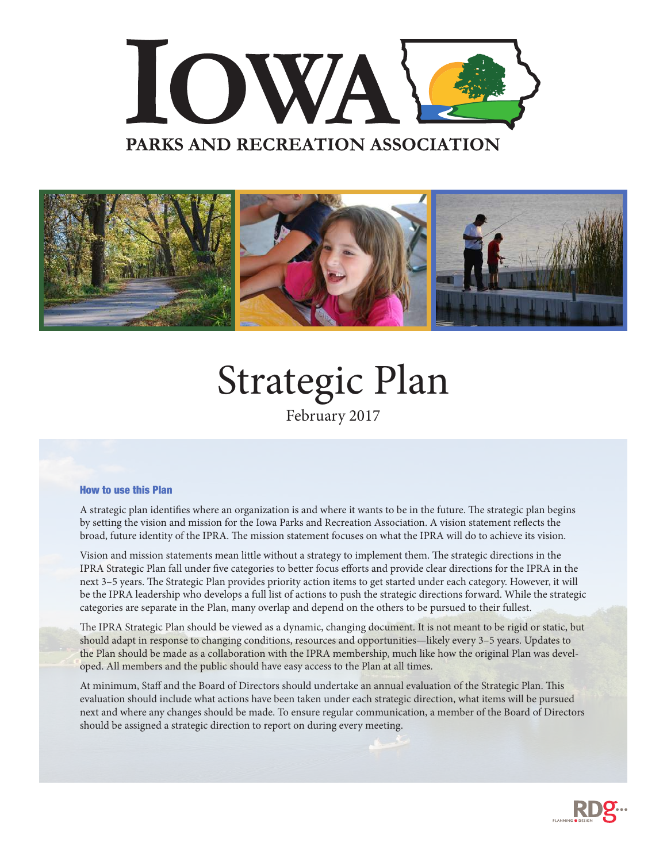



# Strategic Plan

February 2017

#### How to use this Plan

A strategic plan identifies where an organization is and where it wants to be in the future. The strategic plan begins by setting the vision and mission for the Iowa Parks and Recreation Association. A vision statement reflects the broad, future identity of the IPRA. The mission statement focuses on what the IPRA will do to achieve its vision.

Vision and mission statements mean little without a strategy to implement them. The strategic directions in the IPRA Strategic Plan fall under five categories to better focus efforts and provide clear directions for the IPRA in the next 3–5 years. The Strategic Plan provides priority action items to get started under each category. However, it will be the IPRA leadership who develops a full list of actions to push the strategic directions forward. While the strategic categories are separate in the Plan, many overlap and depend on the others to be pursued to their fullest.

The IPRA Strategic Plan should be viewed as a dynamic, changing document. It is not meant to be rigid or static, but should adapt in response to changing conditions, resources and opportunities—likely every 3–5 years. Updates to the Plan should be made as a collaboration with the IPRA membership, much like how the original Plan was developed. All members and the public should have easy access to the Plan at all times.

At minimum, Staff and the Board of Directors should undertake an annual evaluation of the Strategic Plan. This evaluation should include what actions have been taken under each strategic direction, what items will be pursued next and where any changes should be made. To ensure regular communication, a member of the Board of Directors should be assigned a strategic direction to report on during every meeting.

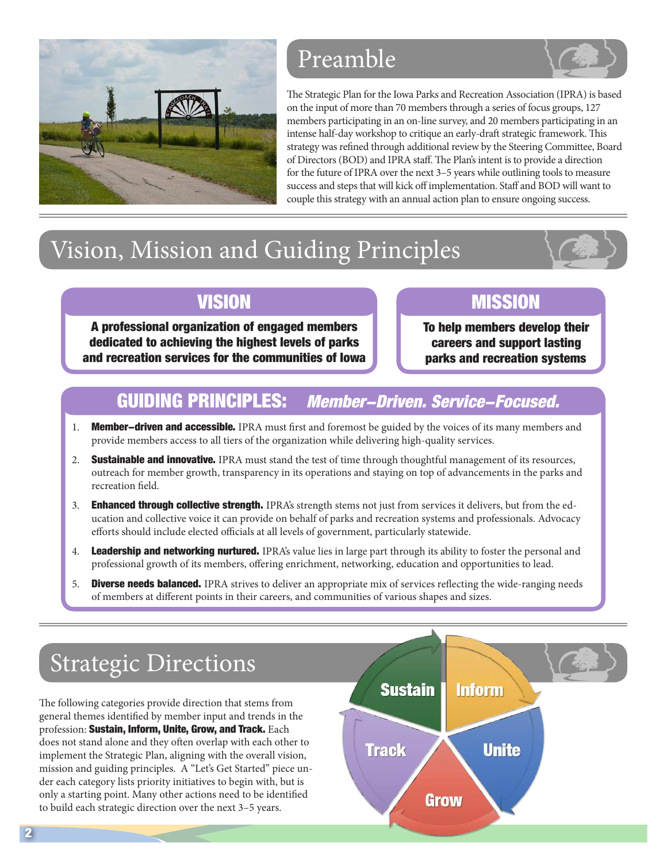

### Preamble

The Strategic Plan for the Iowa Parks and Recreation Association (IPRA) is based on the input of more than 70 members through a series of focus groups, 127 members participating in an on-line survey, and 20 members participating in an intense half-day workshop to critique an early-draft strategic framework. This strategy was refined through additional review by the Steering Committee, Board of Directors (BOD) and IPRA staff. The Plan's intent is to provide a direction for the future of IPRA over the next 3–5 years while outlining tools to measure success and steps that will kick off implementation. Staff and BOD will want to couple this strategy with an annual action plan to ensure ongoing success.

## Vision, Mission and Guiding Principles

### **VISION**

A professional organization of engaged members dedicated to achieving the highest levels of parks and recreation services for the communities of Iowa

### **MISSION**

To help members develop their careers and support lasting parks and recreation systems

### GUIDING PRINCIPLES: Member-Driven. Service-Focused.

- 1. Member-driven and accessible. IPRA must first and foremost be guided by the voices of its many members and provide members access to all tiers of the organization while delivering high-quality services.
- 2. Sustainable and innovative. IPRA must stand the test of time through thoughtful management of its resources, outreach for member growth, transparency in its operations and staying on top of advancements in the parks and recreation field.
- 3. Enhanced through collective strength. IPRA's strength stems not just from services it delivers, but from the education and collective voice it can provide on behalf of parks and recreation systems and professionals. Advocacy efforts should include elected officials at all levels of government, particularly statewide.
- 4. Leadership and networking nurtured. IPRA's value lies in large part through its ability to foster the personal and professional growth of its members, offering enrichment, networking, education and opportunities to lead.
- 5. **Diverse needs balanced.** IPRA strives to deliver an appropriate mix of services reflecting the wide-ranging needs of members at different points in their careers, and communities of various shapes and sizes.

### Strategic Directions

The following categories provide direction that stems from general themes identified by member input and trends in the profession: Sustain, Inform, Unite, Grow, and Track. Each does not stand alone and they often overlap with each other to implement the Strategic Plan, aligning with the overall vision, mission and guiding principles. A "Let's Get Started" piece under each category lists priority initiatives to begin with, but is only a starting point. Many other actions need to be identified to build each strategic direction over the next 3–5 years.

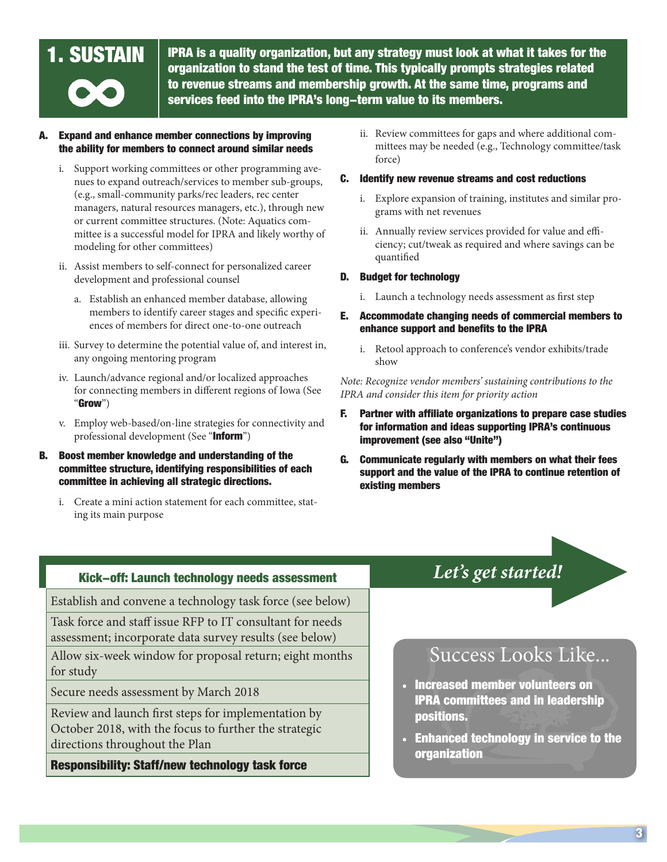**1. SUSTAIN**  $\parallel$  IPRA is a quality organization, but any strategy must look at what it takes for the organization to stand the test of time. This typically prompts strategies related to revenue streams and membership growth. At the same time, programs and services feed into the IPRA's long-term value to its members.

### Expand and enhance member connections by improving the ability for members to connect around similar needs

- i. Support working committees or other programming avenues to expand outreach/services to member sub-groups, (e.g., small-community parks/rec leaders, rec center managers, natural resources managers, etc.), through new or current committee structures. (Note: Aquatics committee is a successful model for IPRA and likely worthy of modeling for other committees)
- ii. Assist members to self-connect for personalized career development and professional counsel
	- a. Establish an enhanced member database, allowing members to identify career stages and specific experiences of members for direct one-to-one outreach
- iii. Survey to determine the potential value of, and interest in, any ongoing mentoring program
- iv. Launch/advance regional and/or localized approaches for connecting members in different regions of Iowa (See "Grow")
- v. Employ web-based/on-line strategies for connectivity and professional development (See "Inform")
- B. Boost member knowledge and understanding of the committee structure, identifying responsibilities of each committee in achieving all strategic directions.
	- i. Create a mini action statement for each committee, stating its main purpose
- ii. Review committees for gaps and where additional committees may be needed (e.g., Technology committee/task force)
- C. Identify new revenue streams and cost reductions
	- i. Explore expansion of training, institutes and similar programs with net revenues
	- ii. Annually review services provided for value and efficiency; cut/tweak as required and where savings can be quantified
- D. Budget for technology
	- i. Launch a technology needs assessment as first step
- E. Accommodate changing needs of commercial members to enhance support and benefits to the IPRA
	- i. Retool approach to conference's vendor exhibits/trade show

#### *Note: Recognize vendor members' sustaining contributions to the IPRA and consider this item for priority action*

- F. Partner with affiliate organizations to prepare case studies for information and ideas supporting IPRA's continuous improvement (see also "Unite")
- G. Communicate regularly with members on what their fees support and the value of the IPRA to continue retention of existing members

### *Let's get started!* Kick-off: Launch technology needs assessment

Establish and convene a technology task force (see below)

Task force and staff issue RFP to IT consultant for needs assessment; incorporate data survey results (see below)

Allow six-week window for proposal return; eight months for study

Secure needs assessment by March 2018

Review and launch first steps for implementation by October 2018, with the focus to further the strategic directions throughout the Plan

Responsibility: Staff/new technology task force

### Success Looks Like...

- Increased member volunteers on IPRA committees and in leadership positions.
- Enhanced technology in service to the organization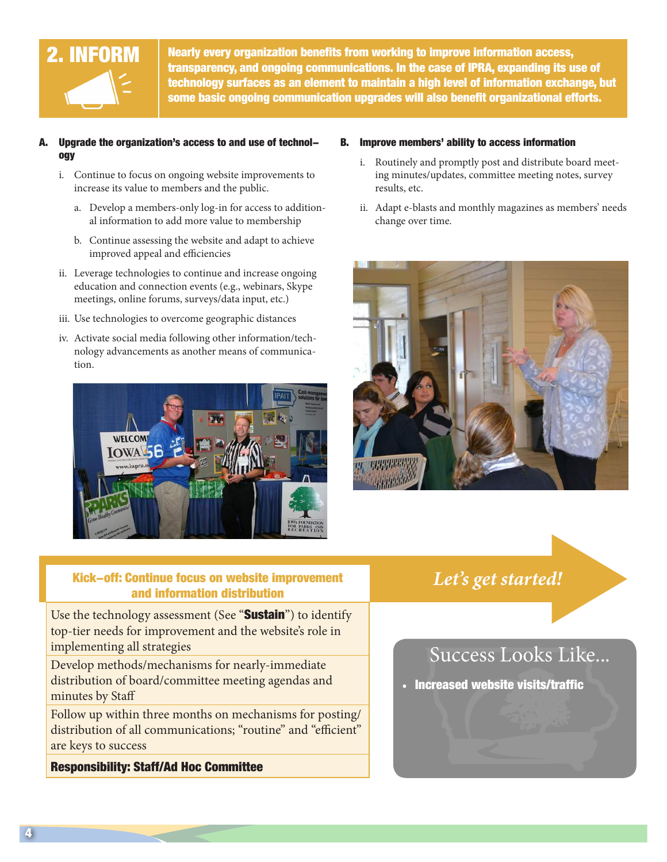

2. INFORM Nearly every organization benefits from working to improve information access, transparency, and ongoing communications. In the case of IPRA, expanding its use of technology surfaces as an element to maintain a high level of information exchange, but some basic ongoing communication upgrades will also benefit organizational efforts.

### A. Upgrade the organization's access to and use of technology

- i. Continue to focus on ongoing website improvements to increase its value to members and the public.
	- a. Develop a members-only log-in for access to additional information to add more value to membership
	- b. Continue assessing the website and adapt to achieve improved appeal and efficiencies
- ii. Leverage technologies to continue and increase ongoing education and connection events (e.g., webinars, Skype meetings, online forums, surveys/data input, etc.)
- iii. Use technologies to overcome geographic distances
- iv. Activate social media following other information/technology advancements as another means of communication.



### B. Improve members' ability to access information

- i. Routinely and promptly post and distribute board meeting minutes/updates, committee meeting notes, survey results, etc.
- ii. Adapt e-blasts and monthly magazines as members' needs change over time.



## Kick-off: Continue focus on website improvement *Let's get started!* and information distribution

Use the technology assessment (See "Sustain") to identify top-tier needs for improvement and the website's role in implementing all strategies

Develop methods/mechanisms for nearly-immediate distribution of board/committee meeting agendas and minutes by Staff

Follow up within three months on mechanisms for posting/ distribution of all communications; "routine" and "efficient" are keys to success

Responsibility: Staff/Ad Hoc Committee

### Success Looks Like...

• Increased website visits/traffic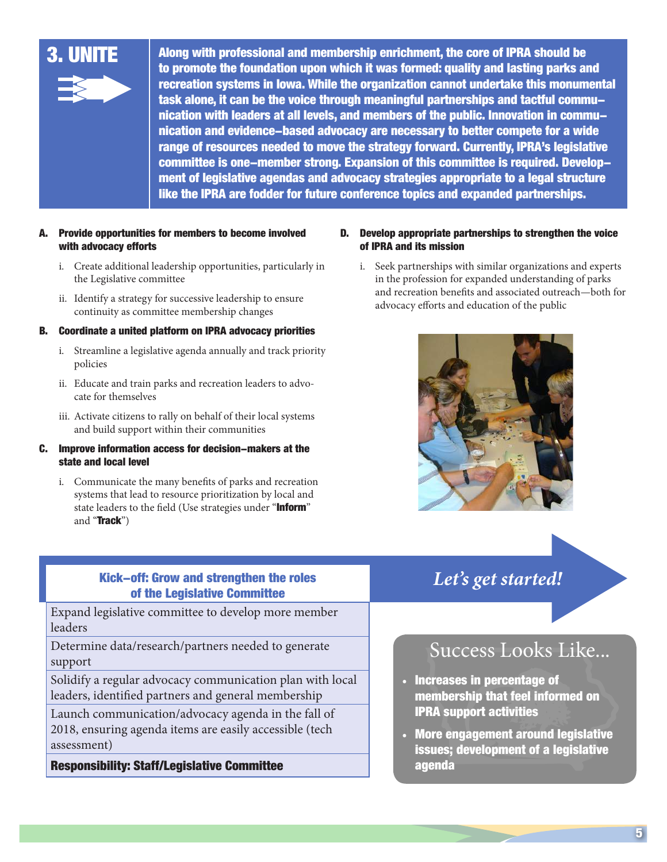

3. UNITE Along with professional and membership enrichment, the core of IPRA should be to promote the foundation upon which it was formed: quality and lasting parks and recreation systems in Iowa. While the organization cannot undertake this monumental task alone, it can be the voice through meaningful partnerships and tactful communication with leaders at all levels, and members of the public. Innovation in communication and evidence-based advocacy are necessary to better compete for a wide range of resources needed to move the strategy forward. Currently, IPRA's legislative committee is one-member strong. Expansion of this committee is required. Development of legislative agendas and advocacy strategies appropriate to a legal structure like the IPRA are fodder for future conference topics and expanded partnerships.

### A. Provide opportunities for members to become involved with advocacy efforts

- i. Create additional leadership opportunities, particularly in the Legislative committee
- ii. Identify a strategy for successive leadership to ensure continuity as committee membership changes

#### B. Coordinate a united platform on IPRA advocacy priorities

- i. Streamline a legislative agenda annually and track priority policies
- ii. Educate and train parks and recreation leaders to advocate for themselves
- iii. Activate citizens to rally on behalf of their local systems and build support within their communities

#### C. Improve information access for decision-makers at the state and local level

i. Communicate the many benefits of parks and recreation systems that lead to resource prioritization by local and state leaders to the field (Use strategies under "Inform" and "Track")

#### D. Develop appropriate partnerships to strengthen the voice of IPRA and its mission

i. Seek partnerships with similar organizations and experts in the profession for expanded understanding of parks and recreation benefits and associated outreach—both for advocacy efforts and education of the public



## Kick-off: Grow and strengthen the roles *Let's get started!* of the Legislative Committee

Expand legislative committee to develop more member leaders

Determine data/research/partners needed to generate support

Solidify a regular advocacy communication plan with local leaders, identified partners and general membership

Launch communication/advocacy agenda in the fall of 2018, ensuring agenda items are easily accessible (tech assessment)

Responsibility: Staff/Legislative Committee

### Success Looks Like...

- Increases in percentage of membership that feel informed on IPRA support activities
- More engagement around legislative issues; development of a legislative agenda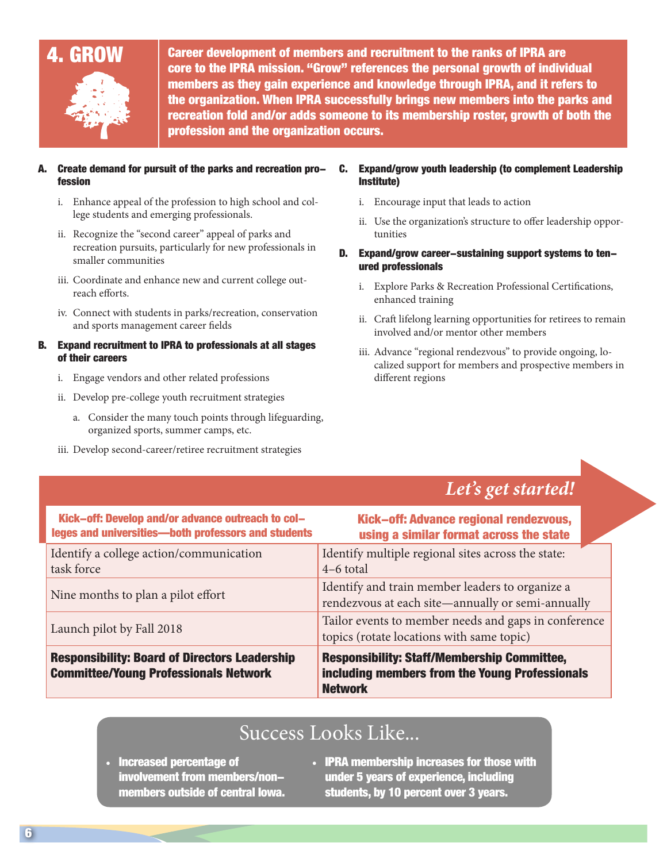

4. GROW Career development of members and recruitment to the ranks of IPRA are core to the IPRA mission. "Grow" references the personal growth of individual members as they gain experience and knowledge through IPRA, and it refers to the organization. When IPRA successfully brings new members into the parks and recreation fold and/or adds someone to its membership roster, growth of both the profession and the organization occurs.

### Create demand for pursuit of the parks and recreation profession

- i. Enhance appeal of the profession to high school and college students and emerging professionals.
- ii. Recognize the "second career" appeal of parks and recreation pursuits, particularly for new professionals in smaller communities
- iii. Coordinate and enhance new and current college outreach efforts.
- iv. Connect with students in parks/recreation, conservation and sports management career fields

#### B. Expand recruitment to IPRA to professionals at all stages of their careers

- i. Engage vendors and other related professions
- ii. Develop pre-college youth recruitment strategies
	- a. Consider the many touch points through lifeguarding, organized sports, summer camps, etc.
- iii. Develop second-career/retiree recruitment strategies

#### C. Expand/grow youth leadership (to complement Leadership Institute)

- i. Encourage input that leads to action
- ii. Use the organization's structure to offer leadership opportunities
- D. Expand/grow career-sustaining support systems to tenured professionals
	- i. Explore Parks & Recreation Professional Certifications, enhanced training
	- ii. Craft lifelong learning opportunities for retirees to remain involved and/or mentor other members
	- iii. Advance "regional rendezvous" to provide ongoing, localized support for members and prospective members in different regions

### *Let's get started!*

| Kick-off: Develop and/or advance outreach to col-<br>leges and universities-both professors and students | Kick-off: Advance regional rendezvous,<br>using a similar format across the state                                      |
|----------------------------------------------------------------------------------------------------------|------------------------------------------------------------------------------------------------------------------------|
| Identify a college action/communication<br>task force                                                    | Identify multiple regional sites across the state:<br>$4-6$ total                                                      |
| Nine months to plan a pilot effort                                                                       | Identify and train member leaders to organize a<br>rendezvous at each site-annually or semi-annually                   |
| Launch pilot by Fall 2018                                                                                | Tailor events to member needs and gaps in conference<br>topics (rotate locations with same topic)                      |
| <b>Responsibility: Board of Directors Leadership</b><br><b>Committee/Young Professionals Network</b>     | <b>Responsibility: Staff/Membership Committee,</b><br>including members from the Young Professionals<br><b>Network</b> |

### Success Looks Like...

- Increased percentage of involvement from members/nonmembers outside of central Iowa.
- IPRA membership increases for those with under 5 years of experience, including students, by 10 percent over 3 years.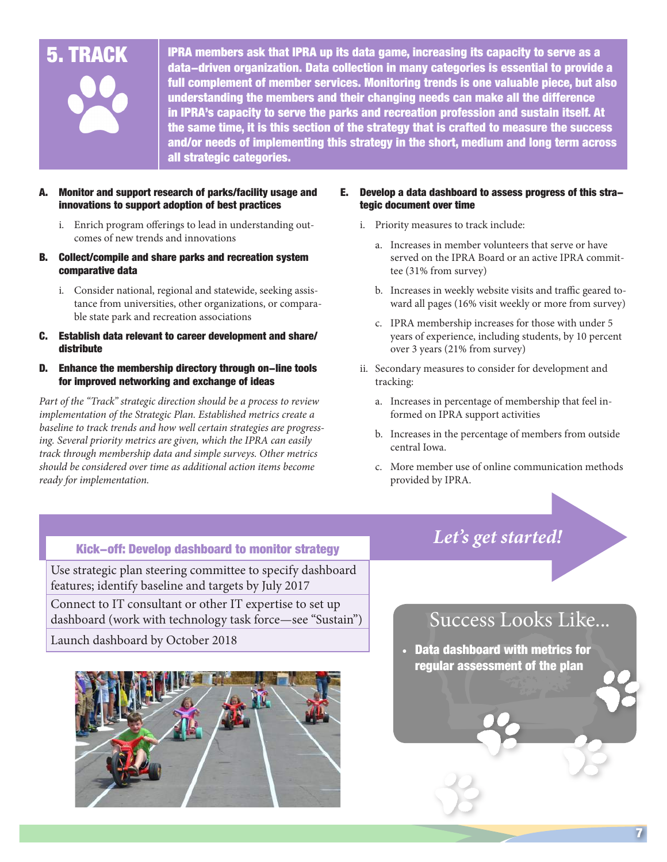

 $\bf 5. \, TRACK \, \, \, \, | \, \,$  IPRA members ask that IPRA up its data game, increasing its capacity to serve as a data-driven organization. Data collection in many categories is essential to provide a full complement of member services. Monitoring trends is one valuable piece, but also understanding the members and their changing needs can make all the difference in IPRA's capacity to serve the parks and recreation profession and sustain itself. At the same time, it is this section of the strategy that is crafted to measure the success and/or needs of implementing this strategy in the short, medium and long term across all strategic categories.

### Monitor and support research of parks/facility usage and innovations to support adoption of best practices

- i. Enrich program offerings to lead in understanding outcomes of new trends and innovations
- B. Collect/compile and share parks and recreation system comparative data
	- i. Consider national, regional and statewide, seeking assistance from universities, other organizations, or comparable state park and recreation associations
- C. Establish data relevant to career development and share/ distribute

#### D. Enhance the membership directory through on-line tools for improved networking and exchange of ideas

*Part of the "Track" strategic direction should be a process to review implementation of the Strategic Plan. Established metrics create a baseline to track trends and how well certain strategies are progressing. Several priority metrics are given, which the IPRA can easily track through membership data and simple surveys. Other metrics should be considered over time as additional action items become ready for implementation.*

#### E. Develop a data dashboard to assess progress of this strategic document over time

- i. Priority measures to track include:
	- a. Increases in member volunteers that serve or have served on the IPRA Board or an active IPRA committee (31% from survey)
	- b. Increases in weekly website visits and traffic geared toward all pages (16% visit weekly or more from survey)
	- c. IPRA membership increases for those with under 5 years of experience, including students, by 10 percent over 3 years (21% from survey)
- ii. Secondary measures to consider for development and tracking:
	- a. Increases in percentage of membership that feel informed on IPRA support activities
	- b. Increases in the percentage of members from outside central Iowa.
	- c. More member use of online communication methods provided by IPRA.

## *Let's get started!* Kick-off: Develop dashboard to monitor strategy

Use strategic plan steering committee to specify dashboard features; identify baseline and targets by July 2017 Connect to IT consultant or other IT expertise to set up dashboard (work with technology task force—see "Sustain")

Launch dashboard by October 2018



### Success Looks Like...

• Data dashboard with metrics for regular assessment of the plan